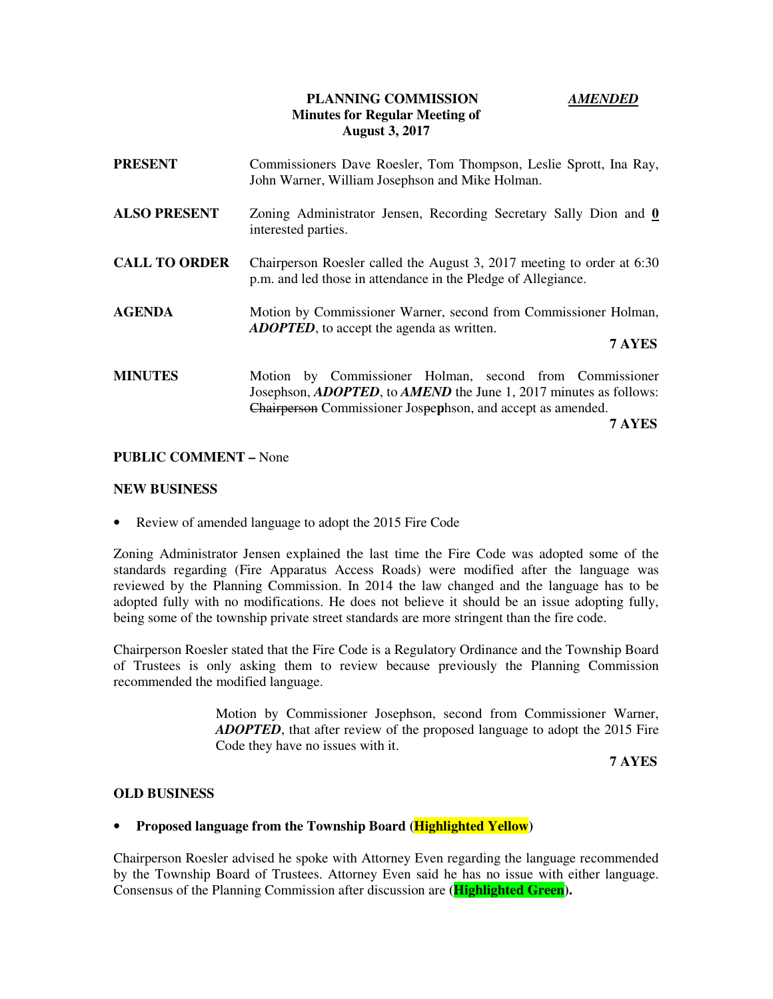### **PLANNING COMMISSION** *AMENDED* **Minutes for Regular Meeting of August 3, 2017**

| <b>PRESENT</b>       | Commissioners Dave Roesler, Tom Thompson, Leslie Sprott, Ina Ray,<br>John Warner, William Josephson and Mike Holman.                                                                                                 |
|----------------------|----------------------------------------------------------------------------------------------------------------------------------------------------------------------------------------------------------------------|
| <b>ALSO PRESENT</b>  | Zoning Administrator Jensen, Recording Secretary Sally Dion and 0<br>interested parties.                                                                                                                             |
| <b>CALL TO ORDER</b> | Chairperson Roesler called the August 3, 2017 meeting to order at 6:30<br>p.m. and led those in attendance in the Pledge of Allegiance.                                                                              |
| <b>AGENDA</b>        | Motion by Commissioner Warner, second from Commissioner Holman,<br><b>ADOPTED</b> , to accept the agenda as written.<br>7 AYES                                                                                       |
| <b>MINUTES</b>       | Motion by Commissioner Holman, second from Commissioner<br>Josephson, <i>ADOPTED</i> , to <i>AMEND</i> the June 1, 2017 minutes as follows:<br>Chairperson Commissioner Jospephson, and accept as amended.<br>7 AYES |

#### **PUBLIC COMMENT –** None

#### **NEW BUSINESS**

• Review of amended language to adopt the 2015 Fire Code

Zoning Administrator Jensen explained the last time the Fire Code was adopted some of the standards regarding (Fire Apparatus Access Roads) were modified after the language was reviewed by the Planning Commission. In 2014 the law changed and the language has to be adopted fully with no modifications. He does not believe it should be an issue adopting fully, being some of the township private street standards are more stringent than the fire code.

Chairperson Roesler stated that the Fire Code is a Regulatory Ordinance and the Township Board of Trustees is only asking them to review because previously the Planning Commission recommended the modified language.

> Motion by Commissioner Josephson, second from Commissioner Warner, *ADOPTED*, that after review of the proposed language to adopt the 2015 Fire Code they have no issues with it.

 **7 AYES**

### **OLD BUSINESS**

#### • **Proposed language from the Township Board (Highlighted Yellow)**

Chairperson Roesler advised he spoke with Attorney Even regarding the language recommended by the Township Board of Trustees. Attorney Even said he has no issue with either language. Consensus of the Planning Commission after discussion are **(Highlighted Green).**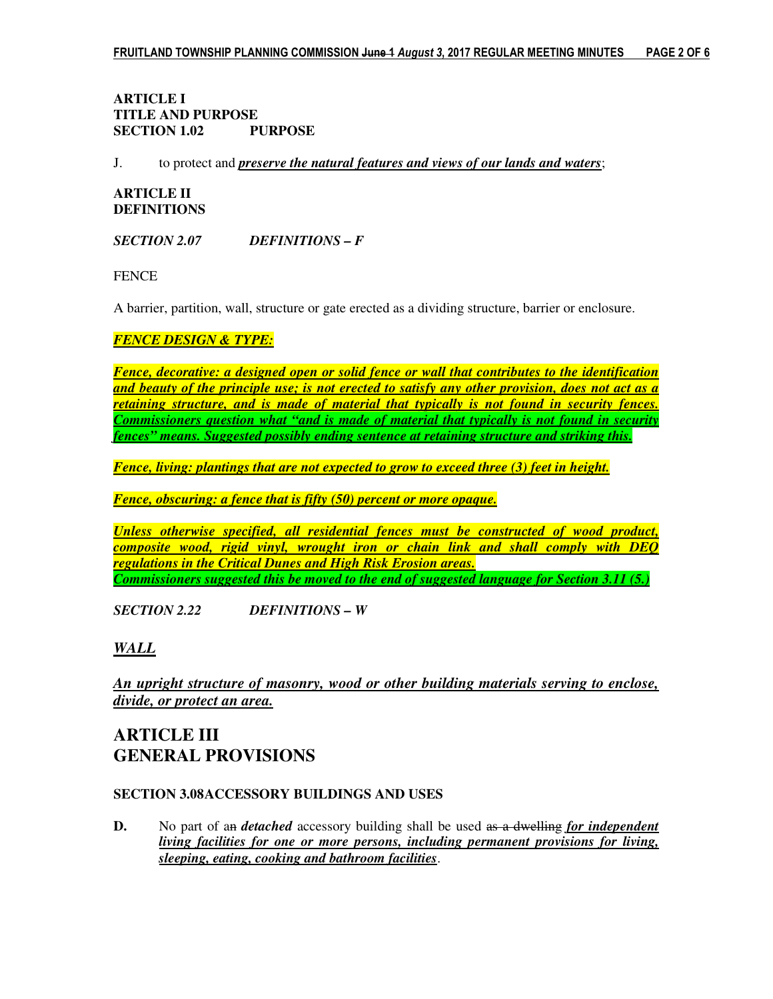# **ARTICLE I TITLE AND PURPOSE SECTION 1.02 PURPOSE**

J. to protect and *preserve the natural features and views of our lands and waters*;

# **ARTICLE II DEFINITIONS**

*SECTION 2.07 DEFINITIONS – F* 

**FENCE** 

A barrier, partition, wall, structure or gate erected as a dividing structure, barrier or enclosure.

# *FENCE DESIGN & TYPE:*

*Fence, decorative: a designed open or solid fence or wall that contributes to the identification and beauty of the principle use; is not erected to satisfy any other provision, does not act as a retaining structure, and is made of material that typically is not found in security fences. Commissioners question what "and is made of material that typically is not found in security fences" means. Suggested possibly ending sentence at retaining structure and striking this.* 

*Fence, living: plantings that are not expected to grow to exceed three (3) feet in height.* 

*Fence, obscuring: a fence that is fifty (50) percent or more opaque.* 

*Unless otherwise specified, all residential fences must be constructed of wood product, composite wood, rigid vinyl, wrought iron or chain link and shall comply with DEQ regulations in the Critical Dunes and High Risk Erosion areas. Commissioners suggested this be moved to the end of suggested language for Section 3.11 (5.)* 

*SECTION 2.22 DEFINITIONS – W* 

# *WALL*

*An upright structure of masonry, wood or other building materials serving to enclose, divide, or protect an area.* 

# **ARTICLE III GENERAL PROVISIONS**

# **SECTION 3.08 ACCESSORY BUILDINGS AND USES**

**D.** No part of an *detached* accessory building shall be used as a dwelling *for independent living facilities for one or more persons, including permanent provisions for living, sleeping, eating, cooking and bathroom facilities*.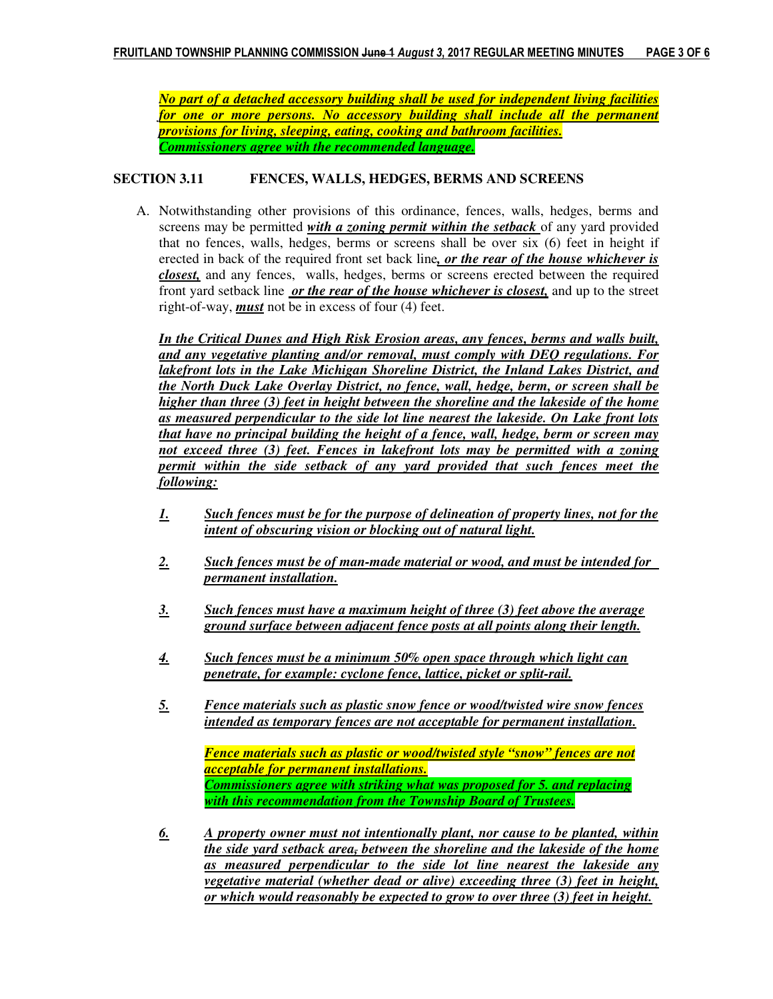*No part of a detached accessory building shall be used for independent living facilities for one or more persons. No accessory building shall include all the permanent provisions for living, sleeping, eating, cooking and bathroom facilities. Commissioners agree with the recommended language.*

### **SECTION 3.11 FENCES, WALLS, HEDGES, BERMS AND SCREENS**

A. Notwithstanding other provisions of this ordinance, fences, walls, hedges, berms and screens may be permitted *with a zoning permit within the setback* of any yard provided that no fences, walls, hedges, berms or screens shall be over six (6) feet in height if erected in back of the required front set back line*, or the rear of the house whichever is closest,* and any fences, walls, hedges, berms or screens erected between the required front yard setback line *or the rear of the house whichever is closest,* and up to the street right-of-way, *must* not be in excess of four (4) feet.

*In the Critical Dunes and High Risk Erosion areas, any fences, berms and walls built, and any vegetative planting and/or removal, must comply with DEQ regulations. For lakefront lots in the Lake Michigan Shoreline District, the Inland Lakes District, and the North Duck Lake Overlay District, no fence, wall, hedge, berm, or screen shall be higher than three (3) feet in height between the shoreline and the lakeside of the home as measured perpendicular to the side lot line nearest the lakeside. On Lake front lots that have no principal building the height of a fence, wall, hedge, berm or screen may not exceed three (3) feet. Fences in lakefront lots may be permitted with a zoning permit within the side setback of any yard provided that such fences meet the following:* 

- *1. Such fences must be for the purpose of delineation of property lines, not for the intent of obscuring vision or blocking out of natural light.*
- *2. Such fences must be of man-made material or wood, and must be intended for permanent installation.*
- *3. Such fences must have a maximum height of three (3) feet above the average ground surface between adjacent fence posts at all points along their length.*
- *4. Such fences must be a minimum 50% open space through which light can penetrate, for example: cyclone fence, lattice, picket or split-rail.*
- *5. Fence materials such as plastic snow fence or wood/twisted wire snow fences intended as temporary fences are not acceptable for permanent installation.*

 *Fence materials such as plastic or wood/twisted style "snow" fences are not acceptable for permanent installations. Commissioners agree with striking what was proposed for 5. and replacing with this recommendation from the Township Board of Trustees.* 

*6. A property owner must not intentionally plant, nor cause to be planted, within the side yard setback area, between the shoreline and the lakeside of the home as measured perpendicular to the side lot line nearest the lakeside any vegetative material (whether dead or alive) exceeding three (3) feet in height, or which would reasonably be expected to grow to over three (3) feet in height.*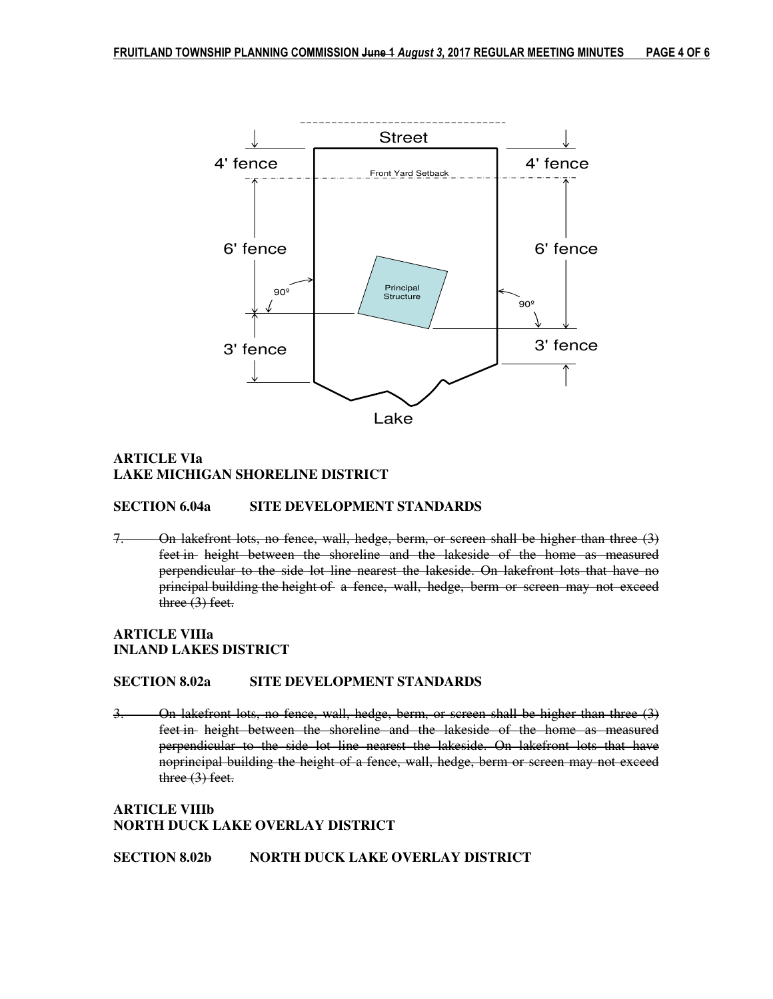

# **ARTICLE VIa LAKE MICHIGAN SHORELINE DISTRICT**

#### **SECTION 6.04a SITE DEVELOPMENT STANDARDS**

7. On lakefront lots, no fence, wall, hedge, berm, or screen shall be higher than three (3) feet in height between the shoreline and the lakeside of the home as measured perpendicular to the side lot line nearest the lakeside. On lakefront lots that have no principal building the height of a fence, wall, hedge, berm or screen may not exceed three (3) feet.

# **ARTICLE VIIIa INLAND LAKES DISTRICT**

#### **SECTION 8.02a SITE DEVELOPMENT STANDARDS**

3. On lakefront lots, no fence, wall, hedge, berm, or screen shall be higher than three (3) feet in height between the shoreline and the lakeside of the home as measured perpendicular to the side lot line nearest the lakeside. On lakefront lots that have noprincipal building the height of a fence, wall, hedge, berm or screen may not exceed three (3) feet.

### **ARTICLE VIIIb NORTH DUCK LAKE OVERLAY DISTRICT**

**SECTION 8.02b NORTH DUCK LAKE OVERLAY DISTRICT**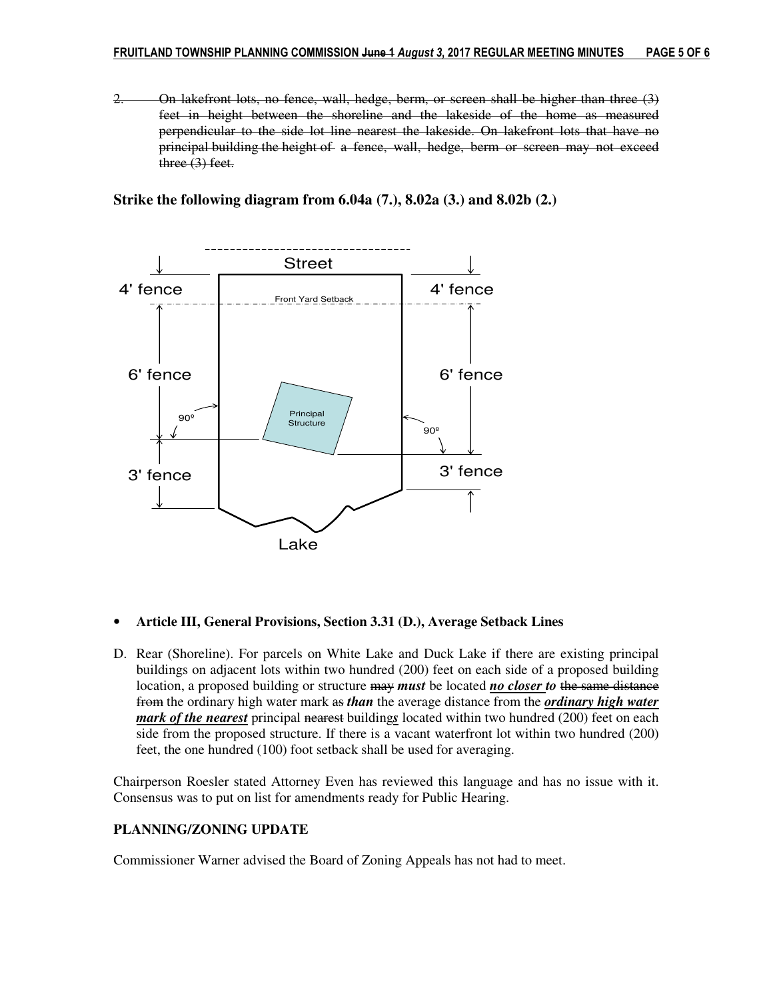2. On lakefront lots, no fence, wall, hedge, berm, or screen shall be higher than three (3) feet in height between the shoreline and the lakeside of the home as measured perpendicular to the side lot line nearest the lakeside. On lakefront lots that have no principal building the height of a fence, wall, hedge, berm or screen may not exceed three (3) feet.

**Strike the following diagram from 6.04a (7.), 8.02a (3.) and 8.02b (2.)** 



#### • **Article III, General Provisions, Section 3.31 (D.), Average Setback Lines**

D. Rear (Shoreline). For parcels on White Lake and Duck Lake if there are existing principal buildings on adjacent lots within two hundred (200) feet on each side of a proposed building location, a proposed building or structure may *must* be located *no closer to* the same distance from the ordinary high water mark as *than* the average distance from the *ordinary high water mark of the nearest* principal nearest buildings located within two hundred (200) feet on each side from the proposed structure. If there is a vacant waterfront lot within two hundred (200) feet, the one hundred (100) foot setback shall be used for averaging.

Chairperson Roesler stated Attorney Even has reviewed this language and has no issue with it. Consensus was to put on list for amendments ready for Public Hearing.

#### **PLANNING/ZONING UPDATE**

Commissioner Warner advised the Board of Zoning Appeals has not had to meet.